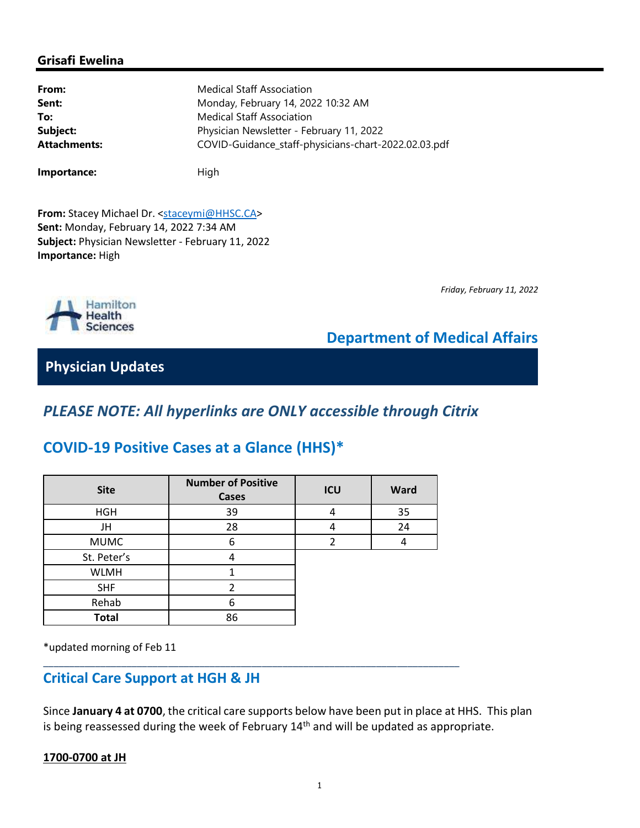### **Grisafi Ewelina**

| From:               | <b>Medical Staff Association</b>                     |  |  |
|---------------------|------------------------------------------------------|--|--|
| Sent:               | Monday, February 14, 2022 10:32 AM                   |  |  |
| To:                 | <b>Medical Staff Association</b>                     |  |  |
| Subject:            | Physician Newsletter - February 11, 2022             |  |  |
| <b>Attachments:</b> | COVID-Guidance_staff-physicians-chart-2022.02.03.pdf |  |  |
|                     |                                                      |  |  |

From: Stacey Michael Dr. <staceymi@HHSC.CA> **Sent:** Monday, February 14, 2022 7:34 AM **Subject:** Physician Newsletter - February 11, 2022 **Importance:** High

**Importance:** High



*Friday, February 11, 2022*

### **Department of Medical Affairs**

**Physician Updates**

# *PLEASE NOTE: All hyperlinks are ONLY accessible through Citrix*

## **COVID-19 Positive Cases at a Glance (HHS)\***

| <b>Site</b>  | <b>Number of Positive</b><br>Cases | ICU | <b>Ward</b> |
|--------------|------------------------------------|-----|-------------|
| <b>HGH</b>   | 39                                 |     | 35          |
| JH           | 28                                 |     | 24          |
| <b>MUMC</b>  | 6                                  |     |             |
| St. Peter's  |                                    |     |             |
| <b>WLMH</b>  |                                    |     |             |
| <b>SHF</b>   | າ                                  |     |             |
| Rehab        | 6                                  |     |             |
| <b>Total</b> | 86                                 |     |             |

\_\_\_\_\_\_\_\_\_\_\_\_\_\_\_\_\_\_\_\_\_\_\_\_\_\_\_\_\_\_\_\_\_\_\_\_\_\_\_\_\_\_\_\_\_\_\_\_\_\_\_\_\_\_\_\_\_\_\_\_\_\_\_\_\_\_\_\_\_\_\_\_\_\_\_\_\_\_\_\_

\*updated morning of Feb 11

### **Critical Care Support at HGH & JH**

Since **January 4 at 0700**, the critical care supports below have been put in place at HHS. This plan is being reassessed during the week of February  $14<sup>th</sup>$  and will be updated as appropriate.

#### **1700-0700 at JH**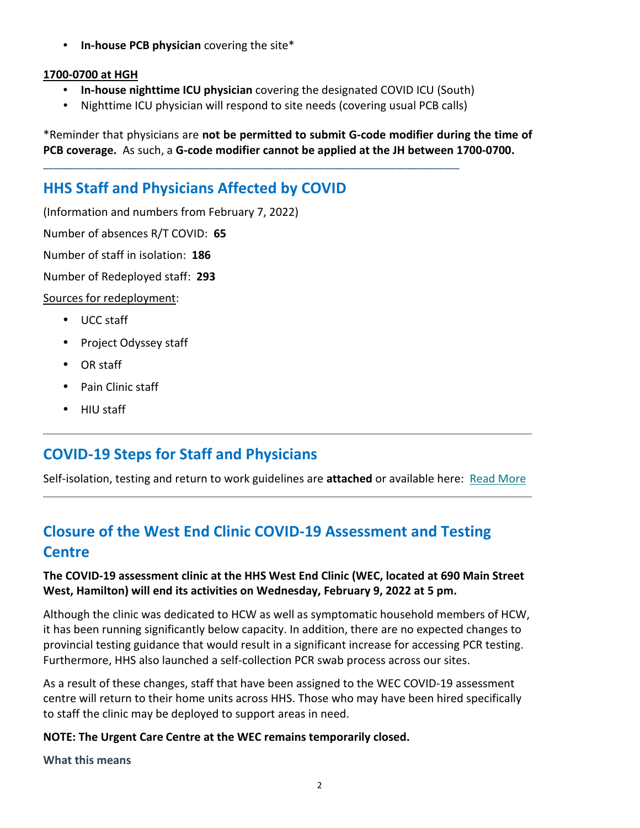• **In-house PCB physician** covering the site\*

#### **1700-0700 at HGH**

- **In-house nighttime ICU physician** covering the designated COVID ICU (South)
- Nighttime ICU physician will respond to site needs (covering usual PCB calls)

\_\_\_\_\_\_\_\_\_\_\_\_\_\_\_\_\_\_\_\_\_\_\_\_\_\_\_\_\_\_\_\_\_\_\_\_\_\_\_\_\_\_\_\_\_\_\_\_\_\_\_\_\_\_\_\_\_\_\_\_\_\_\_\_\_\_\_\_\_\_\_\_\_\_\_\_\_\_\_\_

\*Reminder that physicians are **not be permitted to submit G-code modifier during the time of PCB coverage.** As such, a **G-code modifier cannot be applied at the JH between 1700-0700.**

# **HHS Staff and Physicians Affected by COVID**

(Information and numbers from February 7, 2022)

Number of absences R/T COVID: **65**

Number of staff in isolation: **186**

Number of Redeployed staff: **293**

Sources for redeployment:

- UCC staff
- Project Odyssey staff
- OR staff
- Pain Clinic staff
- HIU staff

# **COVID-19 Steps for Staff and Physicians**

Self-isolation, testing and return to work guidelines are **attached** or available here: Read More

# **Closure of the West End Clinic COVID-19 Assessment and Testing Centre**

### **The COVID-19 assessment clinic at the HHS West End Clinic (WEC, located at 690 Main Street West, Hamilton) will end its activities on Wednesday, February 9, 2022 at 5 pm.**

Although the clinic was dedicated to HCW as well as symptomatic household members of HCW, it has been running significantly below capacity. In addition, there are no expected changes to provincial testing guidance that would result in a significant increase for accessing PCR testing. Furthermore, HHS also launched a self-collection PCR swab process across our sites.

As a result of these changes, staff that have been assigned to the WEC COVID-19 assessment centre will return to their home units across HHS. Those who may have been hired specifically to staff the clinic may be deployed to support areas in need.

### **NOTE: The Urgent Care Centre at the WEC remains temporarily closed.**

**What this means**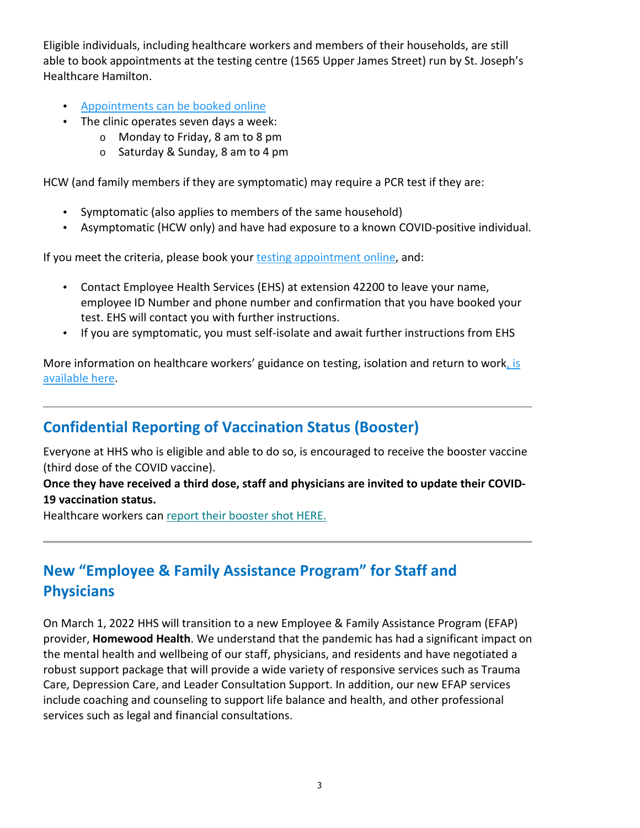Eligible individuals, including healthcare workers and members of their households, are still able to book appointments at the testing centre (1565 Upper James Street) run by St. Joseph's Healthcare Hamilton.

- Appointments can be booked online
- The clinic operates seven days a week:
	- o Monday to Friday, 8 am to 8 pm
	- o Saturday & Sunday, 8 am to 4 pm

HCW (and family members if they are symptomatic) may require a PCR test if they are:

- Symptomatic (also applies to members of the same household)
- Asymptomatic (HCW only) and have had exposure to a known COVID-positive individual.

If you meet the criteria, please book your testing appointment online, and:

- Contact Employee Health Services (EHS) at extension 42200 to leave your name, employee ID Number and phone number and confirmation that you have booked your test. EHS will contact you with further instructions.
- If you are symptomatic, you must self-isolate and await further instructions from EHS

More information on healthcare workers' guidance on testing, isolation and return to work, is available here.

## **Confidential Reporting of Vaccination Status (Booster)**

Everyone at HHS who is eligible and able to do so, is encouraged to receive the booster vaccine (third dose of the COVID vaccine).

**Once they have received a third dose, staff and physicians are invited to update their COVID-19 vaccination status.**

Healthcare workers can report their booster shot HERE.

# **New "Employee & Family Assistance Program" for Staff and Physicians**

On March 1, 2022 HHS will transition to a new Employee & Family Assistance Program (EFAP) provider, **Homewood Health**. We understand that the pandemic has had a significant impact on the mental health and wellbeing of our staff, physicians, and residents and have negotiated a robust support package that will provide a wide variety of responsive services such as Trauma Care, Depression Care, and Leader Consultation Support. In addition, our new EFAP services include coaching and counseling to support life balance and health, and other professional services such as legal and financial consultations.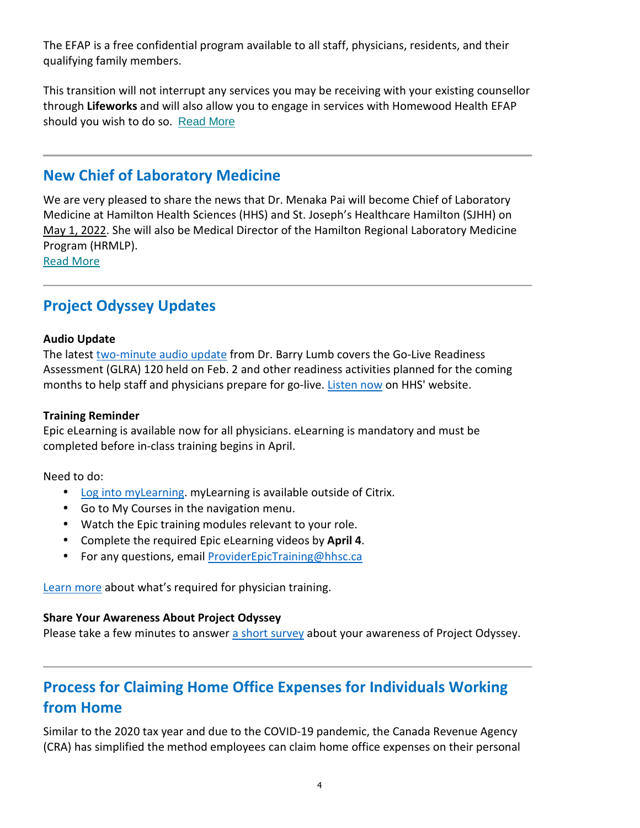The EFAP is a free confidential program available to all staff, physicians, residents, and their qualifying family members.

This transition will not interrupt any services you may be receiving with your existing counsellor through **Lifeworks** and will also allow you to engage in services with Homewood Health EFAP should you wish to do so. Read More

### **New Chief of Laboratory Medicine**

We are very pleased to share the news that Dr. Menaka Pai will become Chief of Laboratory Medicine at Hamilton Health Sciences (HHS) and St. Joseph's Healthcare Hamilton (SJHH) on May 1, 2022. She will also be Medical Director of the Hamilton Regional Laboratory Medicine Program (HRMLP).

Read More

## **Project Odyssey Updates**

#### **Audio Update**

The latest two-minute audio update from Dr. Barry Lumb covers the Go-Live Readiness Assessment (GLRA) 120 held on Feb. 2 and other readiness activities planned for the coming months to help staff and physicians prepare for go-live. Listen now on HHS' website.

#### **Training Reminder**

Epic eLearning is available now for all physicians. eLearning is mandatory and must be completed before in-class training begins in April.

Need to do:

- Log into myLearning. myLearning is available outside of Citrix.
- Go to My Courses in the navigation menu.
- Watch the Epic training modules relevant to your role.
- Complete the required Epic eLearning videos by **April 4**.
- For any questions, email ProviderEpicTraining@hhsc.ca

Learn more about what's required for physician training.

#### **Share Your Awareness About Project Odyssey**

Please take a few minutes to answer a short survey about your awareness of Project Odyssey.

# **Process for Claiming Home Office Expenses for Individuals Working from Home**

Similar to the 2020 tax year and due to the COVID-19 pandemic, the Canada Revenue Agency (CRA) has simplified the method employees can claim home office expenses on their personal